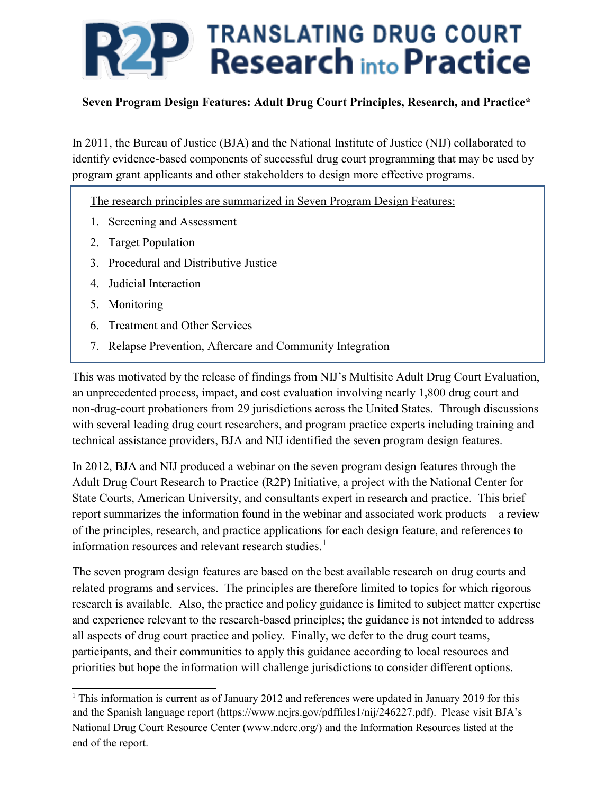

In 2011, the Bureau of Justice (BJA) and the National Institute of Justice (NIJ) collaborated to identify evidence-based components of successful drug court programming that may be used by program grant applicants and other stakeholders to design more effective programs.

The research principles are summarized in Seven Program Design Features:

- 1. Screening and Assessment
- 2. Target Population
- 3. Procedural and Distributive Justice
- 4. Judicial Interaction
- 5. Monitoring
- 6. Treatment and Other Services
- 7. Relapse Prevention, Aftercare and Community Integration

This was motivated by the release of findings from NIJ's Multisite Adult Drug Court Evaluation, an unprecedented process, impact, and cost evaluation involving nearly 1,800 drug court and non-drug-court probationers from 29 jurisdictions across the United States. Through discussions with several leading drug court researchers, and program practice experts including training and technical assistance providers, BJA and NIJ identified the seven program design features.

In 2012, BJA and NIJ produced a webinar on the seven program design features through the Adult Drug Court Research to Practice (R2P) Initiative, a project with the National Center for State Courts, American University, and consultants expert in research and practice. This brief report summarizes the information found in the webinar and associated work products—a review of the principles, research, and practice applications for each design feature, and references to information resources and relevant research studies.<sup>[1](#page-0-0)</sup>

The seven program design features are based on the best available research on drug courts and related programs and services. The principles are therefore limited to topics for which rigorous research is available. Also, the practice and policy guidance is limited to subject matter expertise and experience relevant to the research-based principles; the guidance is not intended to address all aspects of drug court practice and policy. Finally, we defer to the drug court teams, participants, and their communities to apply this guidance according to local resources and priorities but hope the information will challenge jurisdictions to consider different options.

<span id="page-0-0"></span><sup>&</sup>lt;sup>1</sup> This information is current as of January 2012 and references were updated in January 2019 for this and the Spanish language report (https://www.ncjrs.gov/pdffiles1/nij/246227.pdf). Please visit BJA's National Drug Court Resource Center (www.ndcrc.org/) and the Information Resources listed at the end of the report.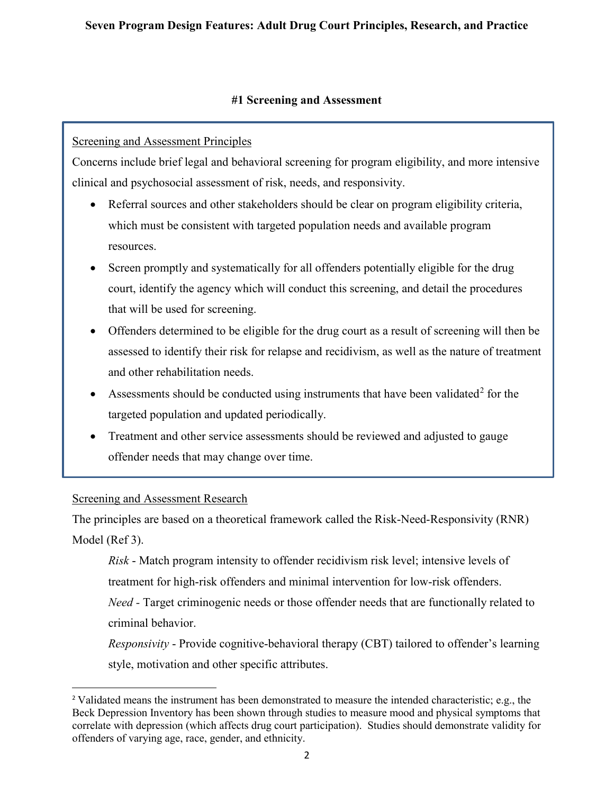#### **#1 Screening and Assessment**

### Screening and Assessment Principles

Concerns include brief legal and behavioral screening for program eligibility, and more intensive clinical and psychosocial assessment of risk, needs, and responsivity.

- Referral sources and other stakeholders should be clear on program eligibility criteria, which must be consistent with targeted population needs and available program resources.
- Screen promptly and systematically for all offenders potentially eligible for the drug court, identify the agency which will conduct this screening, and detail the procedures that will be used for screening.
- Offenders determined to be eligible for the drug court as a result of screening will then be assessed to identify their risk for relapse and recidivism, as well as the nature of treatment and other rehabilitation needs.
- Assessments should be conducted using instruments that have been validated<sup>[2](#page-1-0)</sup> for the targeted population and updated periodically.
- Treatment and other service assessments should be reviewed and adjusted to gauge offender needs that may change over time.

#### Screening and Assessment Research

The principles are based on a theoretical framework called the Risk-Need-Responsivity (RNR) Model (Ref 3).

*Risk* - Match program intensity to offender recidivism risk level; intensive levels of treatment for high-risk offenders and minimal intervention for low-risk offenders. *Need* - Target criminogenic needs or those offender needs that are functionally related to criminal behavior.

*Responsivity* - Provide cognitive-behavioral therapy (CBT) tailored to offender's learning style, motivation and other specific attributes.

<span id="page-1-0"></span><sup>2</sup> Validated means the instrument has been demonstrated to measure the intended characteristic; e.g., the Beck Depression Inventory has been shown through studies to measure mood and physical symptoms that correlate with depression (which affects drug court participation). Studies should demonstrate validity for offenders of varying age, race, gender, and ethnicity.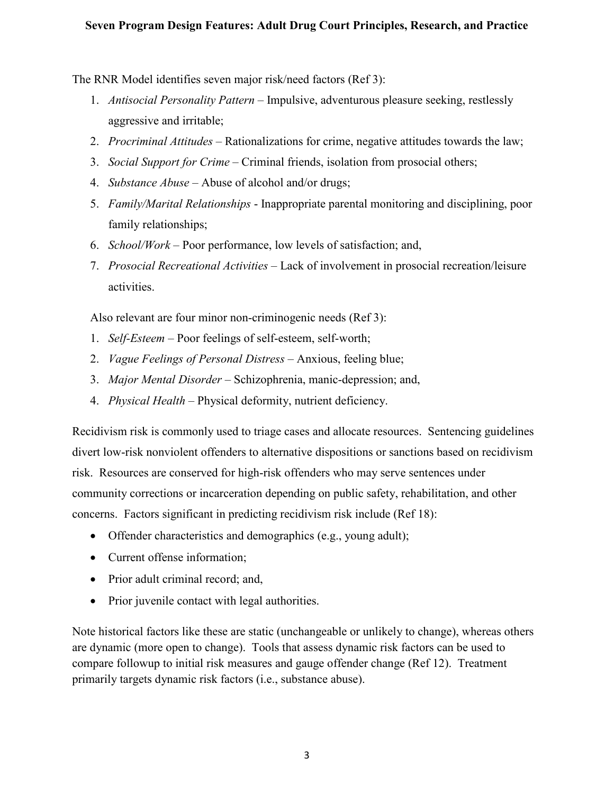The RNR Model identifies seven major risk/need factors (Ref 3):

- 1. *Antisocial Personality Pattern* Impulsive, adventurous pleasure seeking, restlessly aggressive and irritable;
- 2. *Procriminal Attitudes*  Rationalizations for crime, negative attitudes towards the law;
- 3. *Social Support for Crime* Criminal friends, isolation from prosocial others;
- 4. *Substance Abuse* Abuse of alcohol and/or drugs;
- 5. *Family/Marital Relationships* Inappropriate parental monitoring and disciplining, poor family relationships;
- 6. *School/Work* Poor performance, low levels of satisfaction; and,
- 7. *Prosocial Recreational Activities* Lack of involvement in prosocial recreation/leisure activities.

Also relevant are four minor non-criminogenic needs (Ref 3):

- 1. *Self-Esteem* Poor feelings of self-esteem, self-worth;
- 2. *Vague Feelings of Personal Distress*  Anxious, feeling blue;
- 3. *Major Mental Disorder* Schizophrenia, manic-depression; and,
- 4. *Physical Health* Physical deformity, nutrient deficiency.

Recidivism risk is commonly used to triage cases and allocate resources. Sentencing guidelines divert low-risk nonviolent offenders to alternative dispositions or sanctions based on recidivism risk. Resources are conserved for high-risk offenders who may serve sentences under community corrections or incarceration depending on public safety, rehabilitation, and other concerns. Factors significant in predicting recidivism risk include (Ref 18):

- Offender characteristics and demographics (e.g., young adult);
- Current offense information;
- Prior adult criminal record; and,
- Prior juvenile contact with legal authorities.

Note historical factors like these are static (unchangeable or unlikely to change), whereas others are dynamic (more open to change). Tools that assess dynamic risk factors can be used to compare followup to initial risk measures and gauge offender change (Ref 12). Treatment primarily targets dynamic risk factors (i.e., substance abuse).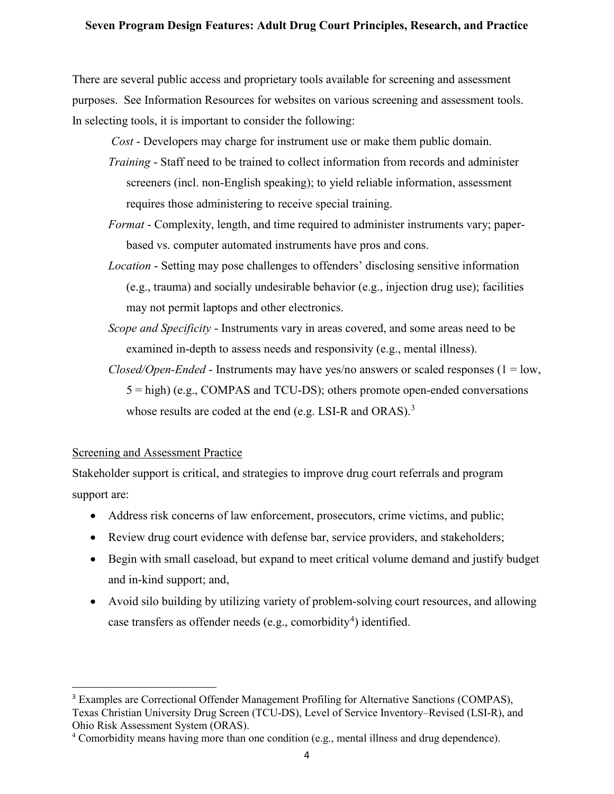There are several public access and proprietary tools available for screening and assessment purposes. See Information Resources for websites on various screening and assessment tools. In selecting tools, it is important to consider the following:

 *Cost* - Developers may charge for instrument use or make them public domain.

- *Training* Staff need to be trained to collect information from records and administer screeners (incl. non-English speaking); to yield reliable information, assessment requires those administering to receive special training.
- *Format* Complexity, length, and time required to administer instruments vary; paperbased vs. computer automated instruments have pros and cons.
- *Location* Setting may pose challenges to offenders' disclosing sensitive information (e.g., trauma) and socially undesirable behavior (e.g., injection drug use); facilities may not permit laptops and other electronics.
- *Scope and Specificity* Instruments vary in areas covered, and some areas need to be examined in-depth to assess needs and responsivity (e.g., mental illness).
- *Closed/Open-Ended* Instruments may have yes/no answers or scaled responses (1 = low, 5 = high) (e.g., COMPAS and TCU-DS); others promote open-ended conversations whose results are coded at the end (e.g. LSI-R and ORAS).<sup>[3](#page-3-0)</sup>

#### Screening and Assessment Practice

Stakeholder support is critical, and strategies to improve drug court referrals and program support are:

- Address risk concerns of law enforcement, prosecutors, crime victims, and public;
- Review drug court evidence with defense bar, service providers, and stakeholders;
- Begin with small caseload, but expand to meet critical volume demand and justify budget and in-kind support; and,
- Avoid silo building by utilizing variety of problem-solving court resources, and allowing case transfers as offender needs (e.g., comorbidity<sup>[4](#page-3-1)</sup>) identified.

<span id="page-3-0"></span><sup>3</sup> Examples are Correctional Offender Management Profiling for Alternative Sanctions (COMPAS), Texas Christian University Drug Screen (TCU-DS), Level of Service Inventory–Revised (LSI-R), and Ohio Risk Assessment System (ORAS).

<span id="page-3-1"></span><sup>&</sup>lt;sup>4</sup> Comorbidity means having more than one condition (e.g., mental illness and drug dependence).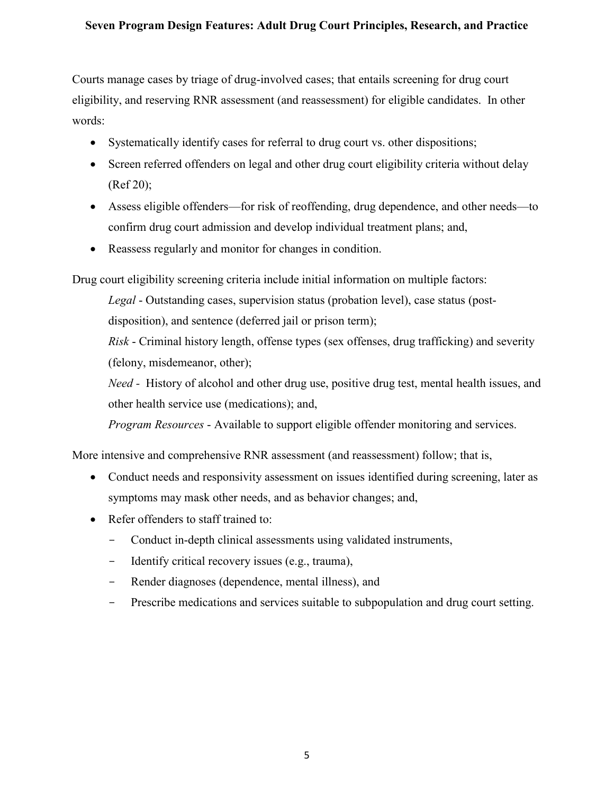Courts manage cases by triage of drug-involved cases; that entails screening for drug court eligibility, and reserving RNR assessment (and reassessment) for eligible candidates. In other words:

- Systematically identify cases for referral to drug court vs. other dispositions;
- Screen referred offenders on legal and other drug court eligibility criteria without delay (Ref 20);
- Assess eligible offenders—for risk of reoffending, drug dependence, and other needs—to confirm drug court admission and develop individual treatment plans; and,
- Reassess regularly and monitor for changes in condition.

Drug court eligibility screening criteria include initial information on multiple factors:

*Legal* - Outstanding cases, supervision status (probation level), case status (postdisposition), and sentence (deferred jail or prison term);

*Risk* - Criminal history length, offense types (sex offenses, drug trafficking) and severity (felony, misdemeanor, other);

*Need -* History of alcohol and other drug use, positive drug test, mental health issues, and other health service use (medications); and,

*Program Resources* - Available to support eligible offender monitoring and services.

More intensive and comprehensive RNR assessment (and reassessment) follow; that is,

- Conduct needs and responsivity assessment on issues identified during screening, later as symptoms may mask other needs, and as behavior changes; and,
- Refer offenders to staff trained to:
	- Conduct in-depth clinical assessments using validated instruments,
	- Identify critical recovery issues (e.g., trauma),
	- Render diagnoses (dependence, mental illness), and
	- Prescribe medications and services suitable to subpopulation and drug court setting.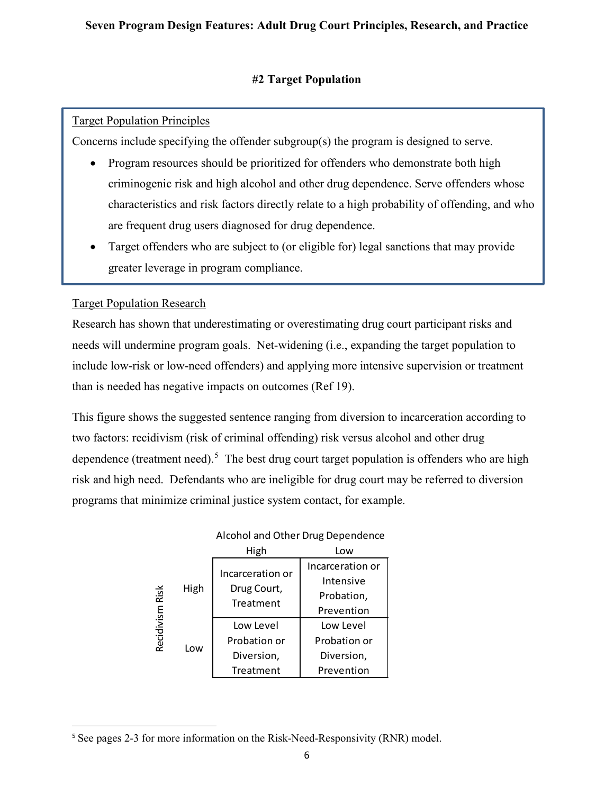# **#2 Target Population**

# Target Population Principles

Concerns include specifying the offender subgroup(s) the program is designed to serve.

- Program resources should be prioritized for offenders who demonstrate both high criminogenic risk and high alcohol and other drug dependence. Serve offenders whose characteristics and risk factors directly relate to a high probability of offending, and who are frequent drug users diagnosed for drug dependence.
- Target offenders who are subject to (or eligible for) legal sanctions that may provide greater leverage in program compliance.

# Target Population Research

Research has shown that underestimating or overestimating drug court participant risks and needs will undermine program goals. Net-widening (i.e., expanding the target population to include low-risk or low-need offenders) and applying more intensive supervision or treatment than is needed has negative impacts on outcomes (Ref 19).

This figure shows the suggested sentence ranging from diversion to incarceration according to two factors: recidivism (risk of criminal offending) risk versus alcohol and other drug dependence (treatment need).<sup>[5](#page-5-0)</sup> The best drug court target population is offenders who are high risk and high need. Defendants who are ineligible for drug court may be referred to diversion programs that minimize criminal justice system contact, for example.

|                    |      | High                                         | Low                                                       |
|--------------------|------|----------------------------------------------|-----------------------------------------------------------|
| Risk<br>Recidivism | High | Incarceration or<br>Drug Court,<br>Treatment | Incarceration or<br>Intensive<br>Probation,<br>Prevention |
|                    | Low  | Low Level<br>Probation or                    | Low Level<br>Probation or                                 |
|                    |      | Diversion,<br>Treatment                      | Diversion,<br>Prevention                                  |

#### Alcohol and Other Drug Dependence

<span id="page-5-0"></span><sup>&</sup>lt;sup>5</sup> See pages 2-3 for more information on the Risk-Need-Responsivity (RNR) model.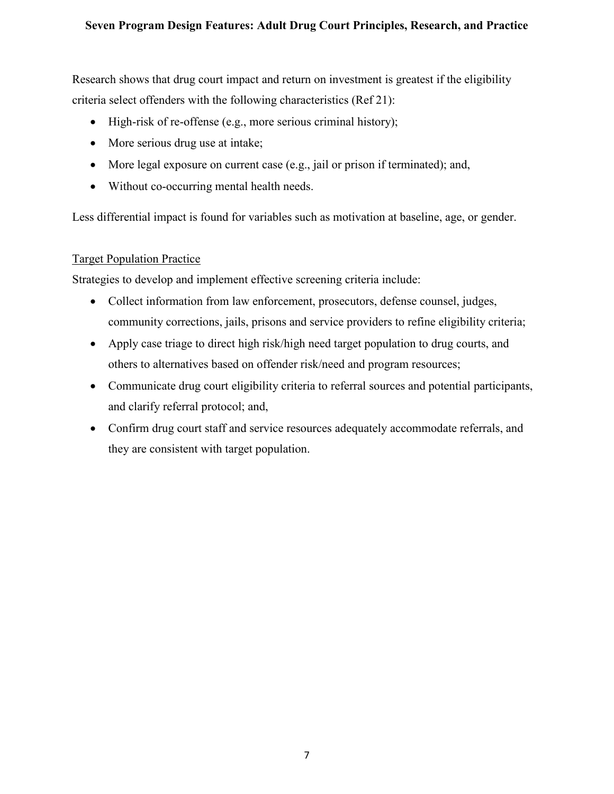Research shows that drug court impact and return on investment is greatest if the eligibility criteria select offenders with the following characteristics (Ref 21):

- High-risk of re-offense (e.g., more serious criminal history);
- More serious drug use at intake;
- More legal exposure on current case (e.g., jail or prison if terminated); and,
- Without co-occurring mental health needs.

Less differential impact is found for variables such as motivation at baseline, age, or gender.

#### Target Population Practice

Strategies to develop and implement effective screening criteria include:

- Collect information from law enforcement, prosecutors, defense counsel, judges, community corrections, jails, prisons and service providers to refine eligibility criteria;
- Apply case triage to direct high risk/high need target population to drug courts, and others to alternatives based on offender risk/need and program resources;
- Communicate drug court eligibility criteria to referral sources and potential participants, and clarify referral protocol; and,
- Confirm drug court staff and service resources adequately accommodate referrals, and they are consistent with target population.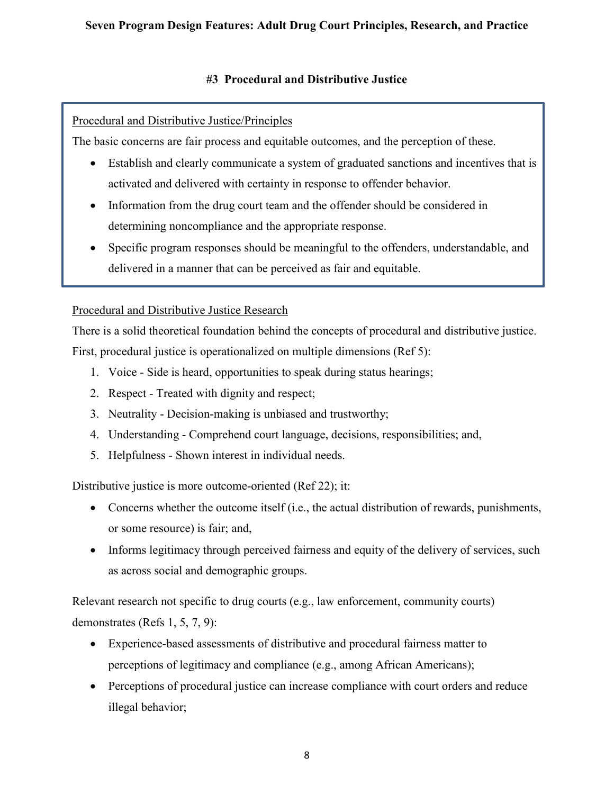# **#3 Procedural and Distributive Justice**

# Procedural and Distributive Justice/Principles

The basic concerns are fair process and equitable outcomes, and the perception of these.

- Establish and clearly communicate a system of graduated sanctions and incentives that is activated and delivered with certainty in response to offender behavior.
- Information from the drug court team and the offender should be considered in determining noncompliance and the appropriate response.
- Specific program responses should be meaningful to the offenders, understandable, and delivered in a manner that can be perceived as fair and equitable.

# Procedural and Distributive Justice Research

There is a solid theoretical foundation behind the concepts of procedural and distributive justice. First, procedural justice is operationalized on multiple dimensions (Ref 5):

- 1. Voice Side is heard, opportunities to speak during status hearings;
- 2. Respect Treated with dignity and respect;
- 3. Neutrality Decision-making is unbiased and trustworthy;
- 4. Understanding Comprehend court language, decisions, responsibilities; and,
- 5. Helpfulness Shown interest in individual needs.

Distributive justice is more outcome-oriented (Ref 22); it:

- Concerns whether the outcome itself (i.e., the actual distribution of rewards, punishments, or some resource) is fair; and,
- Informs legitimacy through perceived fairness and equity of the delivery of services, such as across social and demographic groups.

Relevant research not specific to drug courts (e.g., law enforcement, community courts) demonstrates (Refs 1, 5, 7, 9):

- Experience-based assessments of distributive and procedural fairness matter to perceptions of legitimacy and compliance (e.g., among African Americans);
- Perceptions of procedural justice can increase compliance with court orders and reduce illegal behavior;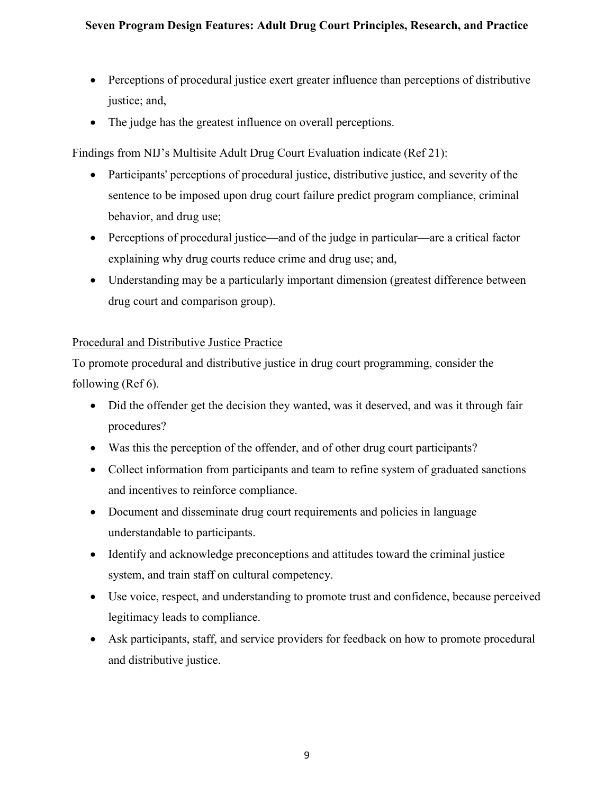- Perceptions of procedural justice exert greater influence than perceptions of distributive justice; and,
- The judge has the greatest influence on overall perceptions.

Findings from NIJ's Multisite Adult Drug Court Evaluation indicate (Ref 21):

- Participants' perceptions of procedural justice, distributive justice, and severity of the sentence to be imposed upon drug court failure predict program compliance, criminal behavior, and drug use;
- Perceptions of procedural justice—and of the judge in particular—are a critical factor explaining why drug courts reduce crime and drug use; and,
- Understanding may be a particularly important dimension (greatest difference between drug court and comparison group).

# Procedural and Distributive Justice Practice

To promote procedural and distributive justice in drug court programming, consider the following (Ref 6).

- Did the offender get the decision they wanted, was it deserved, and was it through fair procedures?
- Was this the perception of the offender, and of other drug court participants?
- Collect information from participants and team to refine system of graduated sanctions and incentives to reinforce compliance.
- Document and disseminate drug court requirements and policies in language understandable to participants.
- Identify and acknowledge preconceptions and attitudes toward the criminal justice system, and train staff on cultural competency.
- Use voice, respect, and understanding to promote trust and confidence, because perceived legitimacy leads to compliance.
- Ask participants, staff, and service providers for feedback on how to promote procedural and distributive justice.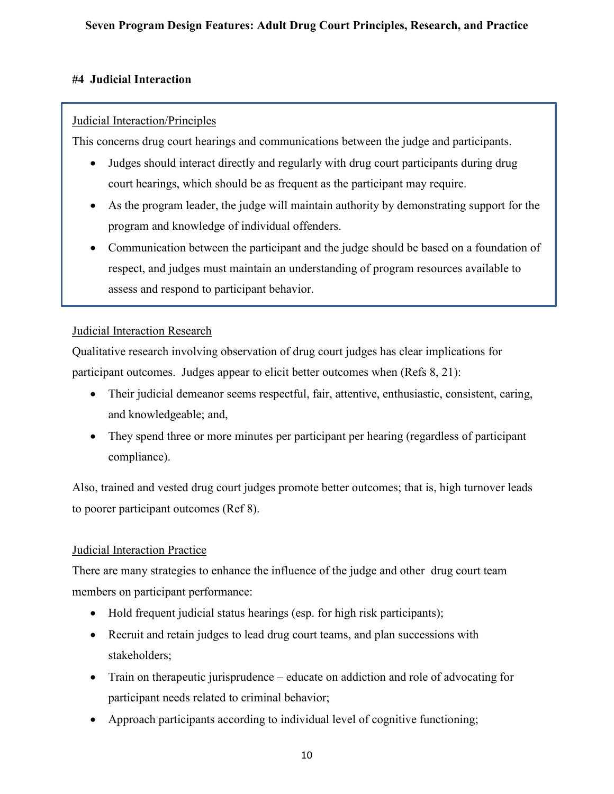# **#4 Judicial Interaction**

# Judicial Interaction/Principles

This concerns drug court hearings and communications between the judge and participants.

- Judges should interact directly and regularly with drug court participants during drug court hearings, which should be as frequent as the participant may require.
- As the program leader, the judge will maintain authority by demonstrating support for the program and knowledge of individual offenders.
- Communication between the participant and the judge should be based on a foundation of respect, and judges must maintain an understanding of program resources available to assess and respond to participant behavior.

# Judicial Interaction Research

Qualitative research involving observation of drug court judges has clear implications for participant outcomes. Judges appear to elicit better outcomes when (Refs 8, 21):

- Their judicial demeanor seems respectful, fair, attentive, enthusiastic, consistent, caring, and knowledgeable; and,
- They spend three or more minutes per participant per hearing (regardless of participant compliance).

Also, trained and vested drug court judges promote better outcomes; that is, high turnover leads to poorer participant outcomes (Ref 8).

# Judicial Interaction Practice

There are many strategies to enhance the influence of the judge and other drug court team members on participant performance:

- Hold frequent judicial status hearings (esp. for high risk participants);
- Recruit and retain judges to lead drug court teams, and plan successions with stakeholders;
- Train on therapeutic jurisprudence educate on addiction and role of advocating for participant needs related to criminal behavior;
- Approach participants according to individual level of cognitive functioning;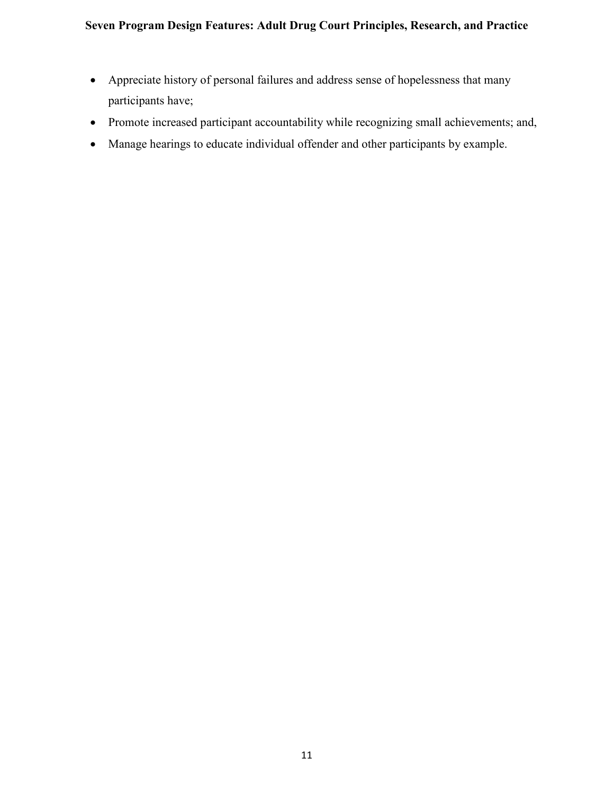- Appreciate history of personal failures and address sense of hopelessness that many participants have;
- Promote increased participant accountability while recognizing small achievements; and,
- Manage hearings to educate individual offender and other participants by example.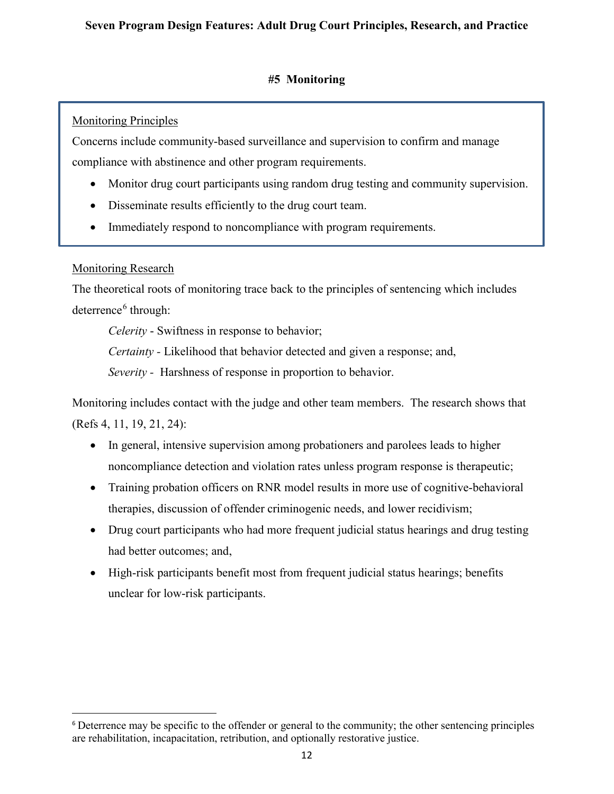### **#5 Monitoring**

# Monitoring Principles

Concerns include community-based surveillance and supervision to confirm and manage compliance with abstinence and other program requirements.

- Monitor drug court participants using random drug testing and community supervision.
- Disseminate results efficiently to the drug court team.
- Immediately respond to noncompliance with program requirements.

# Monitoring Research

The theoretical roots of monitoring trace back to the principles of sentencing which includes deterrence<sup>[6](#page-11-0)</sup> through:

*Celerity* - Swiftness in response to behavior;

*Certainty -* Likelihood that behavior detected and given a response; and,

*Severity* - Harshness of response in proportion to behavior.

Monitoring includes contact with the judge and other team members. The research shows that (Refs 4, 11, 19, 21, 24):

- In general, intensive supervision among probationers and parolees leads to higher noncompliance detection and violation rates unless program response is therapeutic;
- Training probation officers on RNR model results in more use of cognitive-behavioral therapies, discussion of offender criminogenic needs, and lower recidivism;
- Drug court participants who had more frequent judicial status hearings and drug testing had better outcomes; and,
- High-risk participants benefit most from frequent judicial status hearings; benefits unclear for low-risk participants.

<span id="page-11-0"></span><sup>6</sup> Deterrence may be specific to the offender or general to the community; the other sentencing principles are rehabilitation, incapacitation, retribution, and optionally restorative justice.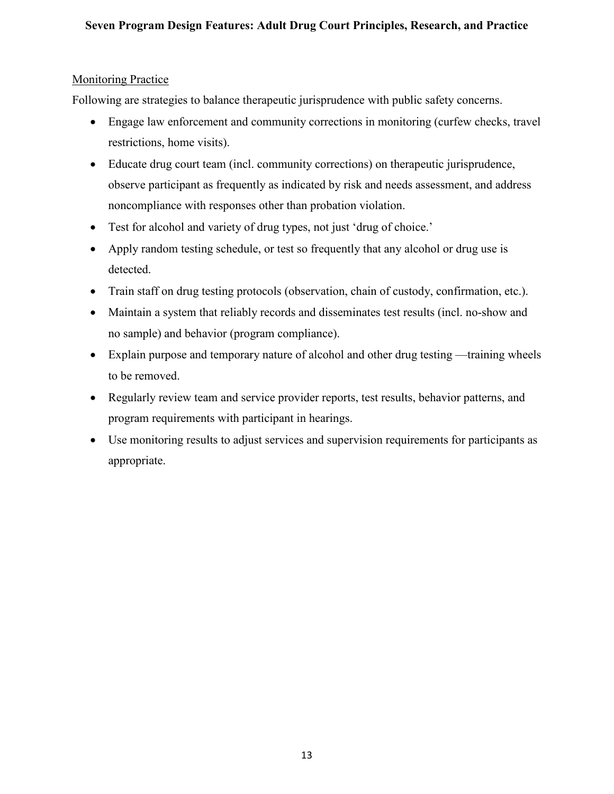#### Monitoring Practice

Following are strategies to balance therapeutic jurisprudence with public safety concerns.

- Engage law enforcement and community corrections in monitoring (curfew checks, travel restrictions, home visits).
- Educate drug court team (incl. community corrections) on therapeutic jurisprudence, observe participant as frequently as indicated by risk and needs assessment, and address noncompliance with responses other than probation violation.
- Test for alcohol and variety of drug types, not just 'drug of choice.'
- Apply random testing schedule, or test so frequently that any alcohol or drug use is detected.
- Train staff on drug testing protocols (observation, chain of custody, confirmation, etc.).
- Maintain a system that reliably records and disseminates test results (incl. no-show and no sample) and behavior (program compliance).
- Explain purpose and temporary nature of alcohol and other drug testing —training wheels to be removed.
- Regularly review team and service provider reports, test results, behavior patterns, and program requirements with participant in hearings.
- Use monitoring results to adjust services and supervision requirements for participants as appropriate.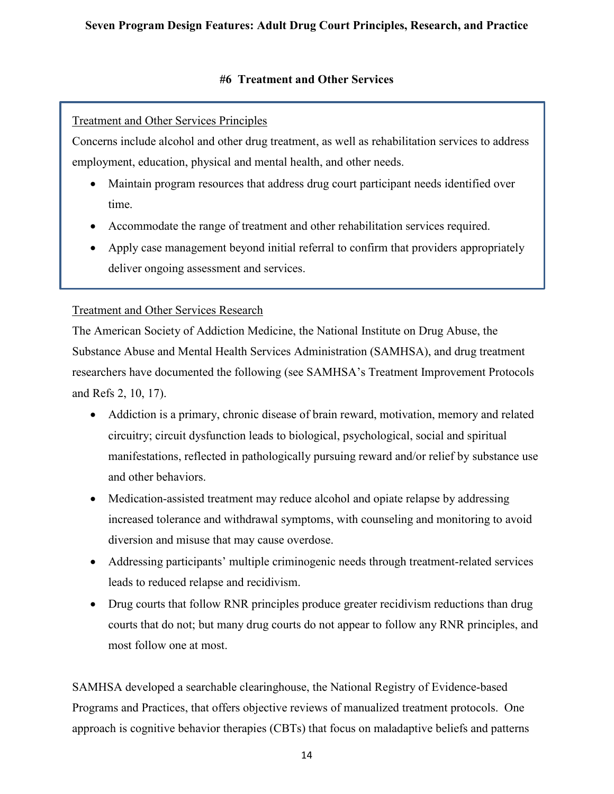### **#6 Treatment and Other Services**

# Treatment and Other Services Principles

Concerns include alcohol and other drug treatment, as well as rehabilitation services to address employment, education, physical and mental health, and other needs.

- Maintain program resources that address drug court participant needs identified over time.
- Accommodate the range of treatment and other rehabilitation services required.
- Apply case management beyond initial referral to confirm that providers appropriately deliver ongoing assessment and services.

## Treatment and Other Services Research

The American Society of Addiction Medicine, the National Institute on Drug Abuse, the Substance Abuse and Mental Health Services Administration (SAMHSA), and drug treatment researchers have documented the following (see SAMHSA's Treatment Improvement Protocols and Refs 2, 10, 17).

- Addiction is a primary, chronic disease of brain reward, motivation, memory and related circuitry; circuit dysfunction leads to biological, psychological, social and spiritual manifestations, reflected in pathologically pursuing reward and/or relief by substance use and other behaviors.
- Medication-assisted treatment may reduce alcohol and opiate relapse by addressing increased tolerance and withdrawal symptoms, with counseling and monitoring to avoid diversion and misuse that may cause overdose.
- Addressing participants' multiple criminogenic needs through treatment-related services leads to reduced relapse and recidivism.
- Drug courts that follow RNR principles produce greater recidivism reductions than drug courts that do not; but many drug courts do not appear to follow any RNR principles, and most follow one at most.

SAMHSA developed a searchable clearinghouse, the National Registry of Evidence-based Programs and Practices, that offers objective reviews of manualized treatment protocols. One approach is cognitive behavior therapies (CBTs) that focus on maladaptive beliefs and patterns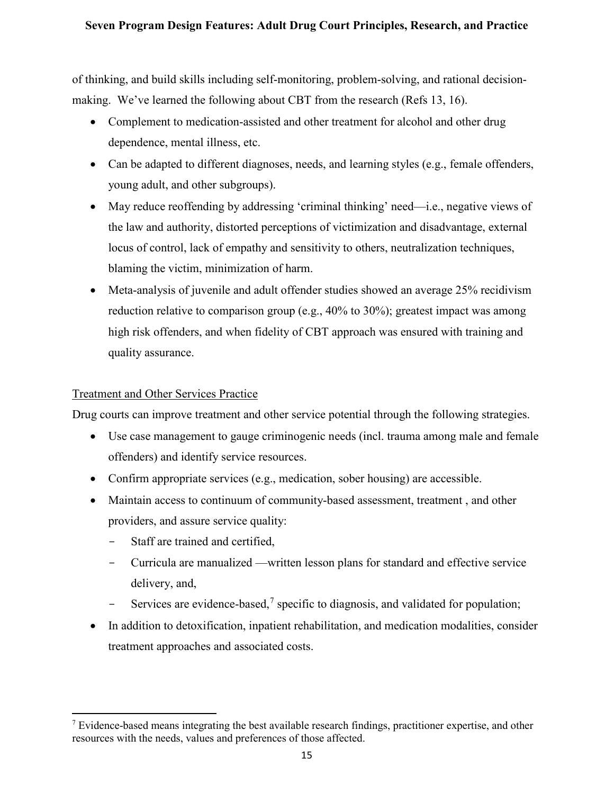of thinking, and build skills including self-monitoring, problem-solving, and rational decisionmaking. We've learned the following about CBT from the research (Refs 13, 16).

- Complement to medication-assisted and other treatment for alcohol and other drug dependence, mental illness, etc.
- Can be adapted to different diagnoses, needs, and learning styles (e.g., female offenders, young adult, and other subgroups).
- May reduce reoffending by addressing 'criminal thinking' need—i.e., negative views of the law and authority, distorted perceptions of victimization and disadvantage, external locus of control, lack of empathy and sensitivity to others, neutralization techniques, blaming the victim, minimization of harm.
- Meta-analysis of juvenile and adult offender studies showed an average 25% recidivism reduction relative to comparison group (e.g., 40% to 30%); greatest impact was among high risk offenders, and when fidelity of CBT approach was ensured with training and quality assurance.

## Treatment and Other Services Practice

Drug courts can improve treatment and other service potential through the following strategies.

- Use case management to gauge criminogenic needs (incl. trauma among male and female offenders) and identify service resources.
- Confirm appropriate services (e.g., medication, sober housing) are accessible.
- Maintain access to continuum of community-based assessment, treatment, and other providers, and assure service quality:
	- Staff are trained and certified,
	- Curricula are manualized —written lesson plans for standard and effective service delivery, and,
	- Services are evidence-based,<sup>[7](#page-14-0)</sup> specific to diagnosis, and validated for population;
- In addition to detoxification, inpatient rehabilitation, and medication modalities, consider treatment approaches and associated costs.

<span id="page-14-0"></span><sup>&</sup>lt;sup>7</sup> Evidence-based means integrating the best available research findings, practitioner expertise, and other resources with the needs, values and preferences of those affected.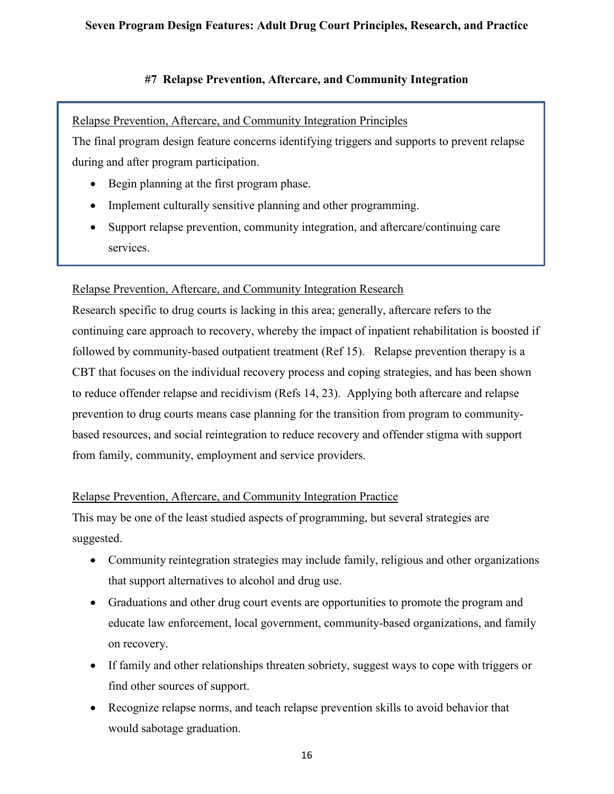#### **#7 Relapse Prevention, Aftercare, and Community Integration**

## Relapse Prevention, Aftercare, and Community Integration Principles

The final program design feature concerns identifying triggers and supports to prevent relapse during and after program participation.

- Begin planning at the first program phase.
- Implement culturally sensitive planning and other programming.
- Support relapse prevention, community integration, and aftercare/continuing care services.

## Relapse Prevention, Aftercare, and Community Integration Research

Research specific to drug courts is lacking in this area; generally, aftercare refers to the continuing care approach to recovery, whereby the impact of inpatient rehabilitation is boosted if followed by community-based outpatient treatment (Ref 15). Relapse prevention therapy is a CBT that focuses on the individual recovery process and coping strategies, and has been shown to reduce offender relapse and recidivism (Refs 14, 23). Applying both aftercare and relapse prevention to drug courts means case planning for the transition from program to communitybased resources, and social reintegration to reduce recovery and offender stigma with support from family, community, employment and service providers.

#### Relapse Prevention, Aftercare, and Community Integration Practice

This may be one of the least studied aspects of programming, but several strategies are suggested.

- Community reintegration strategies may include family, religious and other organizations that support alternatives to alcohol and drug use.
- Graduations and other drug court events are opportunities to promote the program and educate law enforcement, local government, community-based organizations, and family on recovery.
- If family and other relationships threaten sobriety, suggest ways to cope with triggers or find other sources of support.
- Recognize relapse norms, and teach relapse prevention skills to avoid behavior that would sabotage graduation.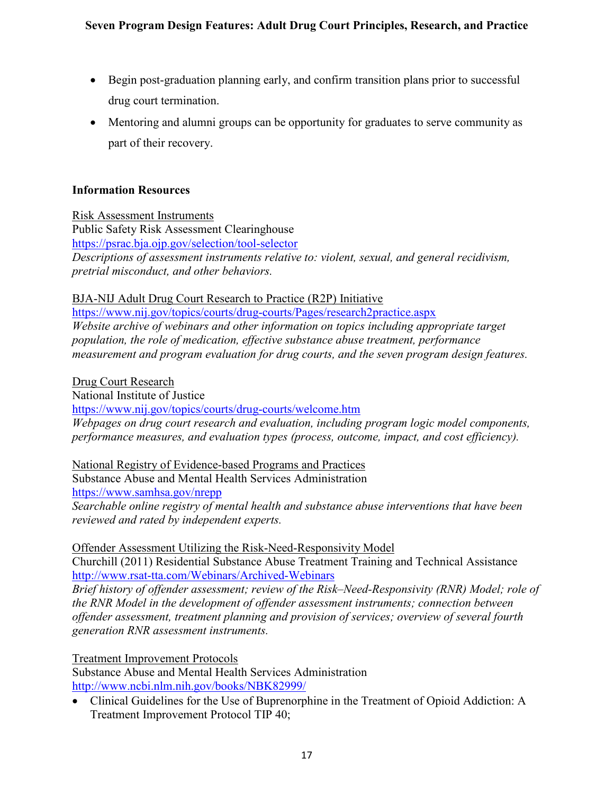- Begin post-graduation planning early, and confirm transition plans prior to successful drug court termination.
- Mentoring and alumni groups can be opportunity for graduates to serve community as part of their recovery.

### **Information Resources**

Risk Assessment Instruments Public Safety Risk Assessment Clearinghouse <https://psrac.bja.ojp.gov/selection/tool-selector> *Descriptions of assessment instruments relative to: violent, sexual, and general recidivism, pretrial misconduct, and other behaviors.* 

#### BJA-NIJ Adult Drug Court Research to Practice (R2P) Initiative

https://www.nij.gov/topics/courts/drug-courts/Pages/research2practice.aspx *Website archive of webinars and other information on topics including appropriate target population, the role of medication, effective substance abuse treatment, performance measurement and program evaluation for drug courts, and the seven program design features.* 

#### Drug Court Research

National Institute of Justice

<https://www.nij.gov/topics/courts/drug-courts/welcome.htm> *Webpages on drug court research and evaluation, including program logic model components, performance measures, and evaluation types (process, outcome, impact, and cost efficiency).* 

#### National Registry of Evidence-based Programs and Practices

Substance Abuse and Mental Health Services Administration <https://www.samhsa.gov/nrepp>

*Searchable online registry of mental health and substance abuse interventions that have been reviewed and rated by independent experts.* 

# Offender Assessment Utilizing the Risk-Need-Responsivity Model

Churchill (2011) Residential Substance Abuse Treatment Training and Technical Assistance <http://www.rsat-tta.com/Webinars/Archived-Webinars>

*Brief history of offender assessment; review of the Risk–Need-Responsivity (RNR) Model; role of the RNR Model in the development of offender assessment instruments; connection between offender assessment, treatment planning and provision of services; overview of several fourth generation RNR assessment instruments.* 

#### Treatment Improvement Protocols

Substance Abuse and Mental Health Services Administration <http://www.ncbi.nlm.nih.gov/books/NBK82999/>

• Clinical Guidelines for the Use of Buprenorphine in the Treatment of Opioid Addiction: A Treatment Improvement Protocol TIP 40;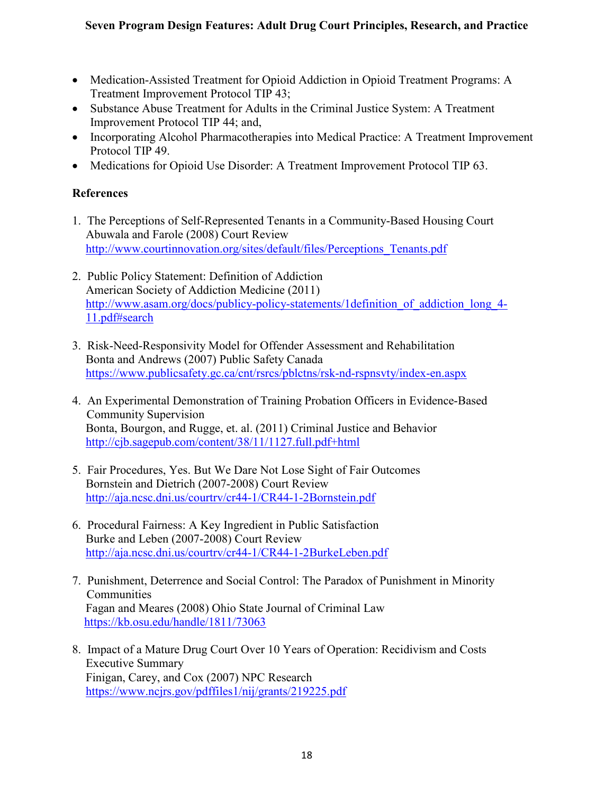- Medication-Assisted Treatment for Opioid Addiction in Opioid Treatment Programs: A Treatment Improvement Protocol TIP 43;
- Substance Abuse Treatment for Adults in the Criminal Justice System: A Treatment Improvement Protocol TIP 44; and,
- Incorporating Alcohol Pharmacotherapies into Medical Practice: A Treatment Improvement Protocol TIP 49.
- Medications for Opioid Use Disorder: A Treatment Improvement Protocol TIP 63.

# **References**

- 1. The Perceptions of Self-Represented Tenants in a Community-Based Housing Court Abuwala and Farole (2008) Court Review [http://www.courtinnovation.org/sites/default/files/Perceptions\\_Tenants.pdf](http://www.courtinnovation.org/sites/default/files/Perceptions_Tenants.pdf)
- 2. Public Policy Statement: Definition of Addiction American Society of Addiction Medicine (2011) http://www.asam.org/docs/publicy-policy-statements/1definition of addiction long 4-[11.pdf#search](http://www.asam.org/docs/publicy-policy-statements/1definition_of_addiction_long_4-11.pdf#search)
- 3. Risk-Need-Responsivity Model for Offender Assessment and Rehabilitation Bonta and Andrews (2007) Public Safety Canada <https://www.publicsafety.gc.ca/cnt/rsrcs/pblctns/rsk-nd-rspnsvty/index-en.aspx>
- 4. An Experimental Demonstration of Training Probation Officers in Evidence-Based Community Supervision Bonta, Bourgon, and Rugge, et. al. (2011) Criminal Justice and Behavior <http://cjb.sagepub.com/content/38/11/1127.full.pdf+html>
- 5. Fair Procedures, Yes. But We Dare Not Lose Sight of Fair Outcomes Bornstein and Dietrich (2007-2008) Court Review <http://aja.ncsc.dni.us/courtrv/cr44-1/CR44-1-2Bornstein.pdf>
- 6. Procedural Fairness: A Key Ingredient in Public Satisfaction Burke and Leben (2007-2008) Court Review <http://aja.ncsc.dni.us/courtrv/cr44-1/CR44-1-2BurkeLeben.pdf>
- 7. Punishment, Deterrence and Social Control: The Paradox of Punishment in Minority **Communities** Fagan and Meares (2008) Ohio State Journal of Criminal Law <https://kb.osu.edu/handle/1811/73063>
- 8. Impact of a Mature Drug Court Over 10 Years of Operation: Recidivism and Costs Executive Summary Finigan, Carey, and Cox (2007) NPC Research <https://www.ncjrs.gov/pdffiles1/nij/grants/219225.pdf>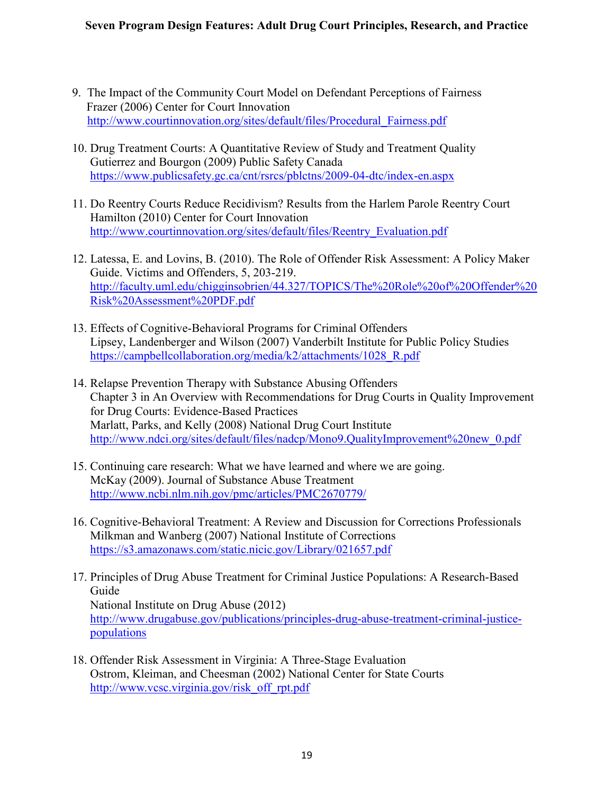- 9. The Impact of the Community Court Model on Defendant Perceptions of Fairness Frazer (2006) Center for Court Innovation [http://www.courtinnovation.org/sites/default/files/Procedural\\_Fairness.pdf](http://www.courtinnovation.org/sites/default/files/Procedural_Fairness.pdf)
- 10. Drug Treatment Courts: A Quantitative Review of Study and Treatment Quality Gutierrez and Bourgon (2009) Public Safety Canada <https://www.publicsafety.gc.ca/cnt/rsrcs/pblctns/2009-04-dtc/index-en.aspx>
- 11. Do Reentry Courts Reduce Recidivism? Results from the Harlem Parole Reentry Court Hamilton (2010) Center for Court Innovation [http://www.courtinnovation.org/sites/default/files/Reentry\\_Evaluation.pdf](http://www.courtinnovation.org/sites/default/files/Reentry_Evaluation.pdf)
- 12. Latessa, E. and Lovins, B. (2010). The Role of Offender Risk Assessment: A Policy Maker Guide. Victims and Offenders, 5, 203-219. [http://faculty.uml.edu/chigginsobrien/44.327/TOPICS/The%20Role%20of%20Offender%20](http://faculty.uml.edu/chigginsobrien/44.327/TOPICS/The%20Role%20of%20Offender%20Risk%20Assessment%20PDF.pdf) [Risk%20Assessment%20PDF.pdf](http://faculty.uml.edu/chigginsobrien/44.327/TOPICS/The%20Role%20of%20Offender%20Risk%20Assessment%20PDF.pdf)
- 13. Effects of Cognitive-Behavioral Programs for Criminal Offenders Lipsey, Landenberger and Wilson (2007) Vanderbilt Institute for Public Policy Studies [https://campbellcollaboration.org/media/k2/attachments/1028\\_R.pdf](https://campbellcollaboration.org/media/k2/attachments/1028_R.pdf)
- 14. Relapse Prevention Therapy with Substance Abusing Offenders Chapter 3 in An Overview with Recommendations for Drug Courts in Quality Improvement for Drug Courts: Evidence-Based Practices Marlatt, Parks, and Kelly (2008) National Drug Court Institute [http://www.ndci.org/sites/default/files/nadcp/Mono9.QualityImprovement%20new\\_0.pdf](http://www.ndci.org/sites/default/files/nadcp/Mono9.QualityImprovement%20new_0.pdf)
- 15. Continuing care research: What we have learned and where we are going. McKay (2009). Journal of Substance Abuse Treatment <http://www.ncbi.nlm.nih.gov/pmc/articles/PMC2670779/>
- 16. Cognitive-Behavioral Treatment: A Review and Discussion for Corrections Professionals Milkman and Wanberg (2007) National Institute of Corrections <https://s3.amazonaws.com/static.nicic.gov/Library/021657.pdf>
- 17. Principles of Drug Abuse Treatment for Criminal Justice Populations: A Research-Based Guide National Institute on Drug Abuse (2012) [http://www.drugabuse.gov/publications/principles-drug-abuse-treatment-criminal-justice](http://www.drugabuse.gov/publications/principles-drug-abuse-treatment-criminal-justice-populations)[populations](http://www.drugabuse.gov/publications/principles-drug-abuse-treatment-criminal-justice-populations)
- 18. Offender Risk Assessment in Virginia: A Three-Stage Evaluation Ostrom, Kleiman, and Cheesman (2002) National Center for State Courts [http://www.vcsc.virginia.gov/risk\\_off\\_rpt.pdf](http://www.vcsc.virginia.gov/risk_off_rpt.pdf)